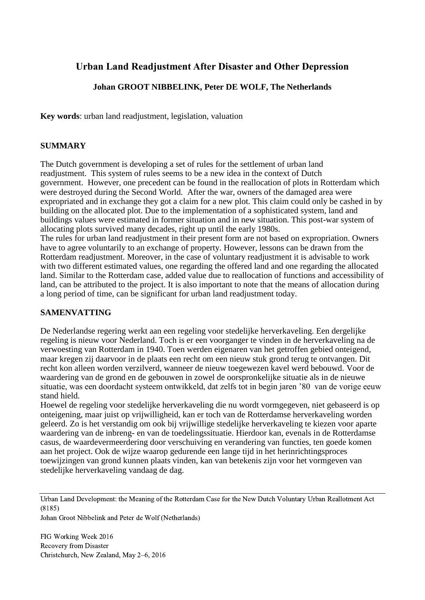# **Urban Land Readjustment After Disaster and Other Depression**

## **Johan GROOT NIBBELINK, Peter DE WOLF, The Netherlands**

**Key words**: urban land readjustment, legislation, valuation

#### **SUMMARY**

The Dutch government is developing a set of rules for the settlement of urban land readjustment. This system of rules seems to be a new idea in the context of Dutch government. However, one precedent can be found in the reallocation of plots in Rotterdam which were destroyed during the Second World. After the war, owners of the damaged area were expropriated and in exchange they got a claim for a new plot. This claim could only be cashed in by building on the allocated plot. Due to the implementation of a sophisticated system, land and buildings values were estimated in former situation and in new situation. This post-war system of allocating plots survived many decades, right up until the early 1980s.

The rules for urban land readjustment in their present form are not based on expropriation. Owners have to agree voluntarily to an exchange of property. However, lessons can be drawn from the Rotterdam readjustment. Moreover, in the case of voluntary readjustment it is advisable to work with two different estimated values, one regarding the offered land and one regarding the allocated land. Similar to the Rotterdam case, added value due to reallocation of functions and accessibility of land, can be attributed to the project. It is also important to note that the means of allocation during a long period of time, can be significant for urban land readjustment today.

#### **SAMENVATTING**

De Nederlandse regering werkt aan een regeling voor stedelijke herverkaveling. Een dergelijke regeling is nieuw voor Nederland. Toch is er een voorganger te vinden in de herverkaveling na de verwoesting van Rotterdam in 1940. Toen werden eigenaren van het getroffen gebied onteigend, maar kregen zij daarvoor in de plaats een recht om een nieuw stuk grond terug te ontvangen. Dit recht kon alleen worden verzilverd, wanneer de nieuw toegewezen kavel werd bebouwd. Voor de waardering van de grond en de gebouwen in zowel de oorspronkelijke situatie als in de nieuwe situatie, was een doordacht systeem ontwikkeld, dat zelfs tot in begin jaren '80 van de vorige eeuw stand hield.

Hoewel de regeling voor stedelijke herverkaveling die nu wordt vormgegeven, niet gebaseerd is op onteigening, maar juist op vrijwilligheid, kan er toch van de Rotterdamse herverkaveling worden geleerd. Zo is het verstandig om ook bij vrijwillige stedelijke herverkaveling te kiezen voor aparte waardering van de inbreng- en van de toedelingssituatie. Hierdoor kan, evenals in de Rotterdamse casus, de waardevermeerdering door verschuiving en verandering van functies, ten goede komen aan het project. Ook de wijze waarop gedurende een lange tijd in het herinrichtingsproces toewijzingen van grond kunnen plaats vinden, kan van betekenis zijn voor het vormgeven van stedelijke herverkaveling vandaag de dag.

Urban Land Development: the Meaning of the Rotterdam Case for the New Dutch Voluntary Urban Reallotment Act (8185)

Johan Groot Nibbelink and Peter de Wolf (Netherlands)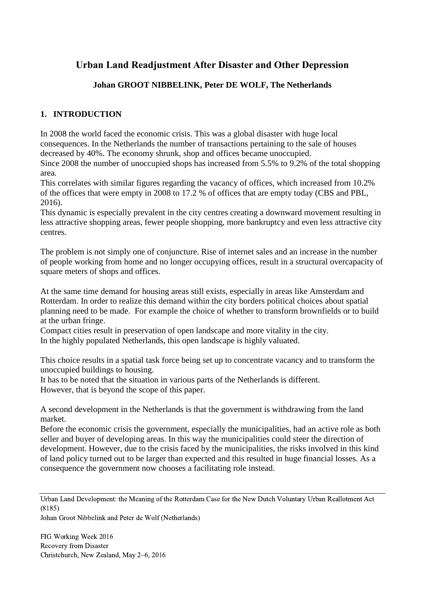# **Urban Land Readjustment After Disaster and Other Depression**

# **Johan GROOT NIBBELINK, Peter DE WOLF, The Netherlands**

# **1. INTRODUCTION**

In 2008 the world faced the economic crisis. This was a global disaster with huge local consequences. In the Netherlands the number of transactions pertaining to the sale of houses decreased by 40%. The economy shrunk, shop and offices became unoccupied.

Since 2008 the number of unoccupied shops has increased from 5.5% to 9.2% of the total shopping area.

This correlates with similar figures regarding the vacancy of offices, which increased from 10.2% of the offices that were empty in 2008 to 17.2 % of offices that are empty today (CBS and PBL, 2016).

This dynamic is especially prevalent in the city centres creating a downward movement resulting in less attractive shopping areas, fewer people shopping, more bankruptcy and even less attractive city centres.

The problem is not simply one of conjuncture. Rise of internet sales and an increase in the number of people working from home and no longer occupying offices, result in a structural overcapacity of square meters of shops and offices.

At the same time demand for housing areas still exists, especially in areas like Amsterdam and Rotterdam. In order to realize this demand within the city borders political choices about spatial planning need to be made. For example the choice of whether to transform brownfields or to build at the urban fringe.

Compact cities result in preservation of open landscape and more vitality in the city. In the highly populated Netherlands, this open landscape is highly valuated.

This choice results in a spatial task force being set up to concentrate vacancy and to transform the unoccupied buildings to housing.

It has to be noted that the situation in various parts of the Netherlands is different. However, that is beyond the scope of this paper.

A second development in the Netherlands is that the government is withdrawing from the land market.

Before the economic crisis the government, especially the municipalities, had an active role as both seller and buyer of developing areas. In this way the municipalities could steer the direction of development. However, due to the crisis faced by the municipalities, the risks involved in this kind of land policy turned out to be larger than expected and this resulted in huge financial losses. As a consequence the government now chooses a facilitating role instead.

Urban Land Development: the Meaning of the Rotterdam Case for the New Dutch Voluntary Urban Reallotment Act (8185)

Johan Groot Nibbelink and Peter de Wolf (Netherlands)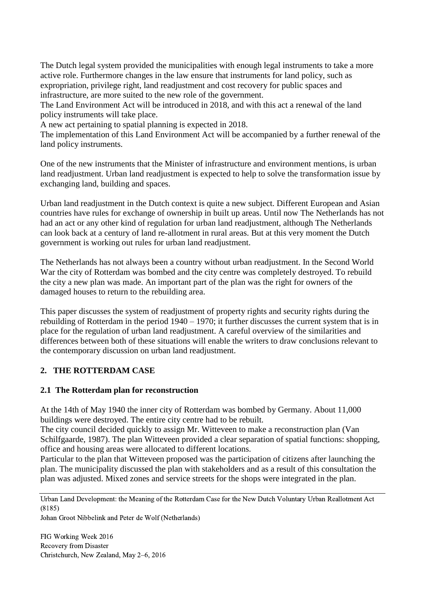The Dutch legal system provided the municipalities with enough legal instruments to take a more active role. Furthermore changes in the law ensure that instruments for land policy, such as expropriation, privilege right, land readjustment and cost recovery for public spaces and infrastructure, are more suited to the new role of the government.

The Land Environment Act will be introduced in 2018, and with this act a renewal of the land policy instruments will take place.

A new act pertaining to spatial planning is expected in 2018.

The implementation of this Land Environment Act will be accompanied by a further renewal of the land policy instruments.

One of the new instruments that the Minister of infrastructure and environment mentions, is urban land readjustment. Urban land readjustment is expected to help to solve the transformation issue by exchanging land, building and spaces.

Urban land readjustment in the Dutch context is quite a new subject. Different European and Asian countries have rules for exchange of ownership in built up areas. Until now The Netherlands has not had an act or any other kind of regulation for urban land readjustment, although The Netherlands can look back at a century of land re-allotment in rural areas. But at this very moment the Dutch government is working out rules for urban land readjustment.

The Netherlands has not always been a country without urban readjustment. In the Second World War the city of Rotterdam was bombed and the city centre was completely destroyed. To rebuild the city a new plan was made. An important part of the plan was the right for owners of the damaged houses to return to the rebuilding area.

This paper discusses the system of readjustment of property rights and security rights during the rebuilding of Rotterdam in the period 1940 – 1970; it further discusses the current system that is in place for the regulation of urban land readjustment. A careful overview of the similarities and differences between both of these situations will enable the writers to draw conclusions relevant to the contemporary discussion on urban land readjustment.

# **2. THE ROTTERDAM CASE**

#### **2.1 The Rotterdam plan for reconstruction**

At the 14th of May 1940 the inner city of Rotterdam was bombed by Germany. About 11,000 buildings were destroyed. The entire city centre had to be rebuilt.

The city council decided quickly to assign Mr. Witteveen to make a reconstruction plan (Van Schilfgaarde, 1987). The plan Witteveen provided a clear separation of spatial functions: shopping, office and housing areas were allocated to different locations.

Particular to the plan that Witteveen proposed was the participation of citizens after launching the plan. The municipality discussed the plan with stakeholders and as a result of this consultation the plan was adjusted. Mixed zones and service streets for the shops were integrated in the plan.

Urban Land Development: the Meaning of the Rotterdam Case for the New Dutch Voluntary Urban Reallotment Act (8185)

Johan Groot Nibbelink and Peter de Wolf (Netherlands)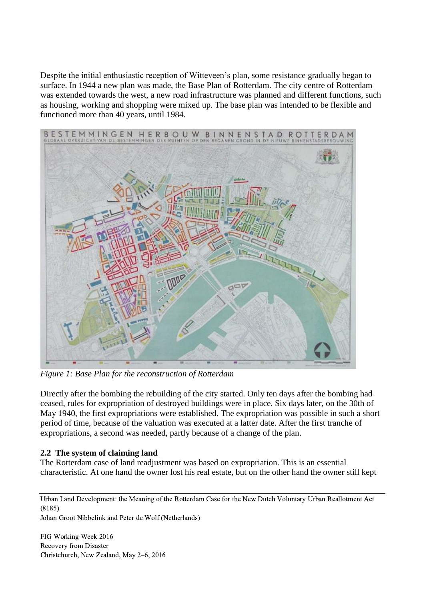Despite the initial enthusiastic reception of Witteveen's plan, some resistance gradually began to surface. In 1944 a new plan was made, the Base Plan of Rotterdam. The city centre of Rotterdam was extended towards the west, a new road infrastructure was planned and different functions, such as housing, working and shopping were mixed up. The base plan was intended to be flexible and functioned more than 40 years, until 1984.



*Figure 1: Base Plan for the reconstruction of Rotterdam* 

Directly after the bombing the rebuilding of the city started. Only ten days after the bombing had ceased, rules for expropriation of destroyed buildings were in place. Six days later, on the 30th of May 1940, the first expropriations were established. The expropriation was possible in such a short period of time, because of the valuation was executed at a latter date. After the first tranche of expropriations, a second was needed, partly because of a change of the plan.

#### **2.2 The system of claiming land**

The Rotterdam case of land readjustment was based on expropriation. This is an essential characteristic. At one hand the owner lost his real estate, but on the other hand the owner still kept

Urban Land Development: the Meaning of the Rotterdam Case for the New Dutch Voluntary Urban Reallotment Act (8185)

Johan Groot Nibbelink and Peter de Wolf (Netherlands)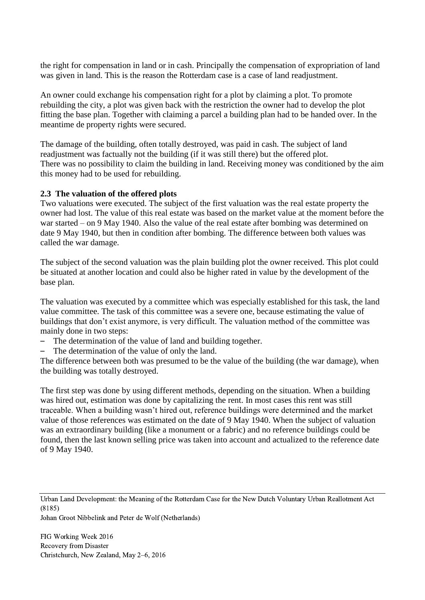the right for compensation in land or in cash. Principally the compensation of expropriation of land was given in land. This is the reason the Rotterdam case is a case of land readjustment.

An owner could exchange his compensation right for a plot by claiming a plot. To promote rebuilding the city, a plot was given back with the restriction the owner had to develop the plot fitting the base plan. Together with claiming a parcel a building plan had to be handed over. In the meantime de property rights were secured.

The damage of the building, often totally destroyed, was paid in cash. The subject of land readjustment was factually not the building (if it was still there) but the offered plot. There was no possibility to claim the building in land. Receiving money was conditioned by the aim this money had to be used for rebuilding.

#### **2.3 The valuation of the offered plots**

Two valuations were executed. The subject of the first valuation was the real estate property the owner had lost. The value of this real estate was based on the market value at the moment before the war started – on 9 May 1940. Also the value of the real estate after bombing was determined on date 9 May 1940, but then in condition after bombing. The difference between both values was called the war damage.

The subject of the second valuation was the plain building plot the owner received. This plot could be situated at another location and could also be higher rated in value by the development of the base plan.

The valuation was executed by a committee which was especially established for this task, the land value committee. The task of this committee was a severe one, because estimating the value of buildings that don't exist anymore, is very difficult. The valuation method of the committee was mainly done in two steps:

- The determination of the value of land and building together.
- The determination of the value of only the land.

The difference between both was presumed to be the value of the building (the war damage), when the building was totally destroyed.

The first step was done by using different methods, depending on the situation. When a building was hired out, estimation was done by capitalizing the rent. In most cases this rent was still traceable. When a building wasn't hired out, reference buildings were determined and the market value of those references was estimated on the date of 9 May 1940. When the subject of valuation was an extraordinary building (like a monument or a fabric) and no reference buildings could be found, then the last known selling price was taken into account and actualized to the reference date of 9 May 1940.

Urban Land Development: the Meaning of the Rotterdam Case for the New Dutch Voluntary Urban Reallotment Act (8185)

Johan Groot Nibbelink and Peter de Wolf (Netherlands)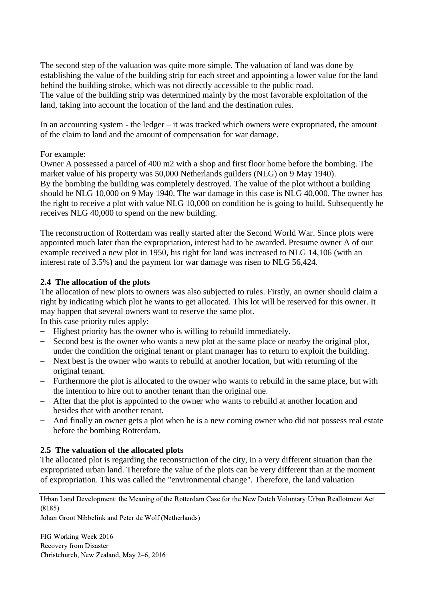The second step of the valuation was quite more simple. The valuation of land was done by establishing the value of the building strip for each street and appointing a lower value for the land behind the building stroke, which was not directly accessible to the public road. The value of the building strip was determined mainly by the most favorable exploitation of the land, taking into account the location of the land and the destination rules.

In an accounting system - the ledger – it was tracked which owners were expropriated, the amount of the claim to land and the amount of compensation for war damage.

#### For example:

Owner A possessed a parcel of 400 m2 with a shop and first floor home before the bombing. The market value of his property was 50,000 Netherlands guilders (NLG) on 9 May 1940). By the bombing the building was completely destroyed. The value of the plot without a building should be NLG 10,000 on 9 May 1940. The war damage in this case is NLG 40,000. The owner has the right to receive a plot with value NLG 10,000 on condition he is going to build. Subsequently he receives NLG 40,000 to spend on the new building.

The reconstruction of Rotterdam was really started after the Second World War. Since plots were appointed much later than the expropriation, interest had to be awarded. Presume owner A of our example received a new plot in 1950, his right for land was increased to NLG 14,106 (with an interest rate of 3.5%) and the payment for war damage was risen to NLG 56,424.

#### **2.4 The allocation of the plots**

The allocation of new plots to owners was also subjected to rules. Firstly, an owner should claim a right by indicating which plot he wants to get allocated. This lot will be reserved for this owner. It may happen that several owners want to reserve the same plot.

In this case priority rules apply:

- Highest priority has the owner who is willing to rebuild immediately.
- Second best is the owner who wants a new plot at the same place or nearby the original plot, under the condition the original tenant or plant manager has to return to exploit the building.
- Next best is the owner who wants to rebuild at another location, but with returning of the original tenant.
- Furthermore the plot is allocated to the owner who wants to rebuild in the same place, but with the intention to hire out to another tenant than the original one.
- After that the plot is appointed to the owner who wants to rebuild at another location and besides that with another tenant.
- And finally an owner gets a plot when he is a new coming owner who did not possess real estate before the bombing Rotterdam.

#### **2.5 The valuation of the allocated plots**

The allocated plot is regarding the reconstruction of the city, in a very different situation than the expropriated urban land. Therefore the value of the plots can be very different than at the moment of expropriation. This was called the "environmental change". Therefore, the land valuation

Urban Land Development: the Meaning of the Rotterdam Case for the New Dutch Voluntary Urban Reallotment Act (8185)

Johan Groot Nibbelink and Peter de Wolf (Netherlands)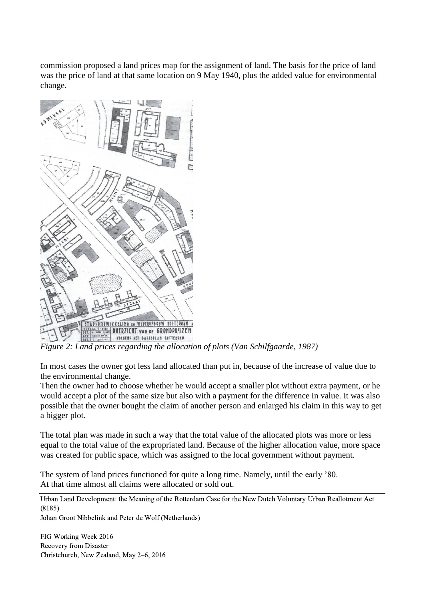commission proposed a land prices map for the assignment of land. The basis for the price of land was the price of land at that same location on 9 May 1940, plus the added value for environmental change.



*Figure 2: Land prices regarding the allocation of plots (Van Schilfgaarde, 1987)*

In most cases the owner got less land allocated than put in, because of the increase of value due to the environmental change.

Then the owner had to choose whether he would accept a smaller plot without extra payment, or he would accept a plot of the same size but also with a payment for the difference in value. It was also possible that the owner bought the claim of another person and enlarged his claim in this way to get a bigger plot.

The total plan was made in such a way that the total value of the allocated plots was more or less equal to the total value of the expropriated land. Because of the higher allocation value, more space was created for public space, which was assigned to the local government without payment.

The system of land prices functioned for quite a long time. Namely, until the early '80. At that time almost all claims were allocated or sold out.

Urban Land Development: the Meaning of the Rotterdam Case for the New Dutch Voluntary Urban Reallotment Act (8185)

Johan Groot Nibbelink and Peter de Wolf (Netherlands)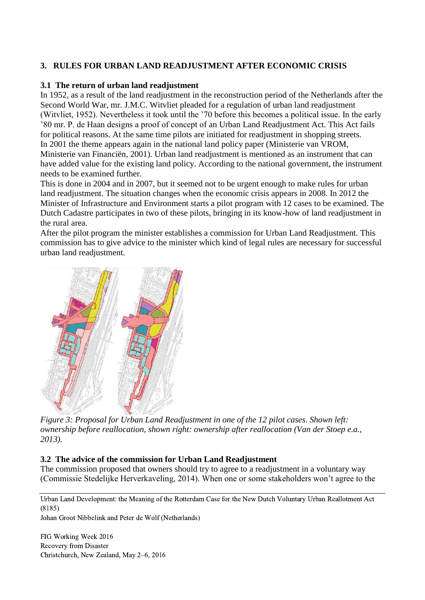## **3. RULES FOR URBAN LAND READJUSTMENT AFTER ECONOMIC CRISIS**

#### **3.1 The return of urban land readjustment**

In 1952, as a result of the land readjustment in the reconstruction period of the Netherlands after the Second World War, mr. J.M.C. Witvliet pleaded for a regulation of urban land readjustment (Witvliet, 1952). Nevertheless it took until the '70 before this becomes a political issue. In the early '80 mr. P. de Haan designs a proof of concept of an Urban Land Readjustment Act. This Act fails for political reasons. At the same time pilots are initiated for readjustment in shopping streets. In 2001 the theme appears again in the national land policy paper (Ministerie van VROM, Ministerie van Financiën, 2001). Urban land readjustment is mentioned as an instrument that can have added value for the existing land policy. According to the national government, the instrument needs to be examined further.

This is done in 2004 and in 2007, but it seemed not to be urgent enough to make rules for urban land readjustment. The situation changes when the economic crisis appears in 2008. In 2012 the Minister of Infrastructure and Environment starts a pilot program with 12 cases to be examined. The Dutch Cadastre participates in two of these pilots, bringing in its know-how of land readjustment in the rural area.

After the pilot program the minister establishes a commission for Urban Land Readjustment. This commission has to give advice to the minister which kind of legal rules are necessary for successful urban land readjustment.



*Figure 3: Proposal for Urban Land Readjustment in one of the 12 pilot cases. Shown left: ownership before reallocation, shown right: ownership after reallocation (Van der Stoep e.a., 2013).*

#### **3.2 The advice of the commission for Urban Land Readjustment**

The commission proposed that owners should try to agree to a readjustment in a voluntary way (Commissie Stedelijke Herverkaveling, 2014). When one or some stakeholders won't agree to the

Urban Land Development: the Meaning of the Rotterdam Case for the New Dutch Voluntary Urban Reallotment Act (8185)

Johan Groot Nibbelink and Peter de Wolf (Netherlands)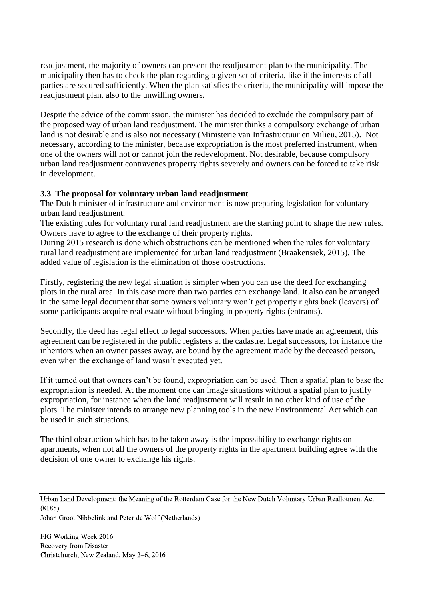readjustment, the majority of owners can present the readjustment plan to the municipality. The municipality then has to check the plan regarding a given set of criteria, like if the interests of all parties are secured sufficiently. When the plan satisfies the criteria, the municipality will impose the readjustment plan, also to the unwilling owners.

Despite the advice of the commission, the minister has decided to exclude the compulsory part of the proposed way of urban land readjustment. The minister thinks a compulsory exchange of urban land is not desirable and is also not necessary (Ministerie van Infrastructuur en Milieu, 2015). Not necessary, according to the minister, because expropriation is the most preferred instrument, when one of the owners will not or cannot join the redevelopment. Not desirable, because compulsory urban land readjustment contravenes property rights severely and owners can be forced to take risk in development.

## **3.3 The proposal for voluntary urban land readjustment**

The Dutch minister of infrastructure and environment is now preparing legislation for voluntary urban land readjustment.

The existing rules for voluntary rural land readjustment are the starting point to shape the new rules. Owners have to agree to the exchange of their property rights.

During 2015 research is done which obstructions can be mentioned when the rules for voluntary rural land readjustment are implemented for urban land readjustment (Braakensiek, 2015). The added value of legislation is the elimination of those obstructions.

Firstly, registering the new legal situation is simpler when you can use the deed for exchanging plots in the rural area. In this case more than two parties can exchange land. It also can be arranged in the same legal document that some owners voluntary won't get property rights back (leavers) of some participants acquire real estate without bringing in property rights (entrants).

Secondly, the deed has legal effect to legal successors. When parties have made an agreement, this agreement can be registered in the public registers at the cadastre. Legal successors, for instance the inheritors when an owner passes away, are bound by the agreement made by the deceased person, even when the exchange of land wasn't executed yet.

If it turned out that owners can't be found, expropriation can be used. Then a spatial plan to base the expropriation is needed. At the moment one can image situations without a spatial plan to justify expropriation, for instance when the land readjustment will result in no other kind of use of the plots. The minister intends to arrange new planning tools in the new Environmental Act which can be used in such situations.

The third obstruction which has to be taken away is the impossibility to exchange rights on apartments, when not all the owners of the property rights in the apartment building agree with the decision of one owner to exchange his rights.

Urban Land Development: the Meaning of the Rotterdam Case for the New Dutch Voluntary Urban Reallotment Act (8185)

Johan Groot Nibbelink and Peter de Wolf (Netherlands)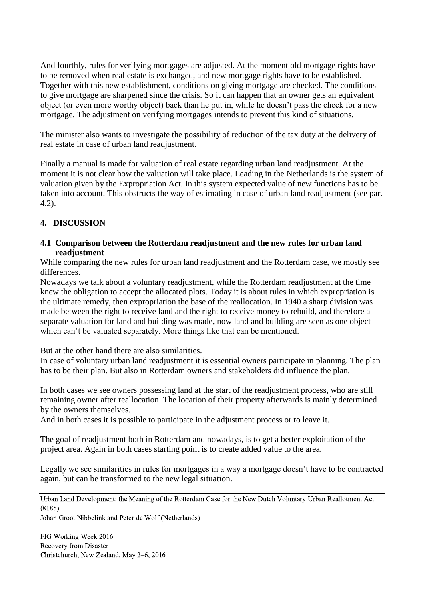And fourthly, rules for verifying mortgages are adjusted. At the moment old mortgage rights have to be removed when real estate is exchanged, and new mortgage rights have to be established. Together with this new establishment, conditions on giving mortgage are checked. The conditions to give mortgage are sharpened since the crisis. So it can happen that an owner gets an equivalent object (or even more worthy object) back than he put in, while he doesn't pass the check for a new mortgage. The adjustment on verifying mortgages intends to prevent this kind of situations.

The minister also wants to investigate the possibility of reduction of the tax duty at the delivery of real estate in case of urban land readjustment.

Finally a manual is made for valuation of real estate regarding urban land readjustment. At the moment it is not clear how the valuation will take place. Leading in the Netherlands is the system of valuation given by the Expropriation Act. In this system expected value of new functions has to be taken into account. This obstructs the way of estimating in case of urban land readjustment (see par. 4.2).

## **4. DISCUSSION**

#### **4.1 Comparison between the Rotterdam readjustment and the new rules for urban land readjustment**

While comparing the new rules for urban land readjustment and the Rotterdam case, we mostly see differences.

Nowadays we talk about a voluntary readjustment, while the Rotterdam readjustment at the time knew the obligation to accept the allocated plots. Today it is about rules in which expropriation is the ultimate remedy, then expropriation the base of the reallocation. In 1940 a sharp division was made between the right to receive land and the right to receive money to rebuild, and therefore a separate valuation for land and building was made, now land and building are seen as one object which can't be valuated separately. More things like that can be mentioned.

But at the other hand there are also similarities.

In case of voluntary urban land readjustment it is essential owners participate in planning. The plan has to be their plan. But also in Rotterdam owners and stakeholders did influence the plan.

In both cases we see owners possessing land at the start of the readjustment process, who are still remaining owner after reallocation. The location of their property afterwards is mainly determined by the owners themselves.

And in both cases it is possible to participate in the adjustment process or to leave it.

The goal of readjustment both in Rotterdam and nowadays, is to get a better exploitation of the project area. Again in both cases starting point is to create added value to the area.

Legally we see similarities in rules for mortgages in a way a mortgage doesn't have to be contracted again, but can be transformed to the new legal situation.

Urban Land Development: the Meaning of the Rotterdam Case for the New Dutch Voluntary Urban Reallotment Act (8185)

Johan Groot Nibbelink and Peter de Wolf (Netherlands)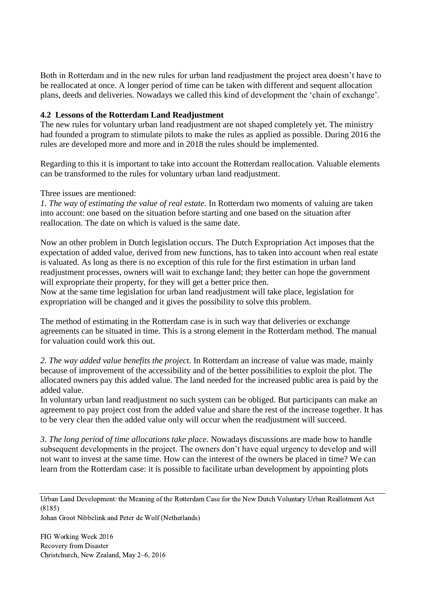Both in Rotterdam and in the new rules for urban land readjustment the project area doesn't have to be reallocated at once. A longer period of time can be taken with different and sequent allocation plans, deeds and deliveries. Nowadays we called this kind of development the 'chain of exchange'.

#### **4.2 Lessons of the Rotterdam Land Readjustment**

The new rules for voluntary urban land readjustment are not shaped completely yet. The ministry had founded a program to stimulate pilots to make the rules as applied as possible. During 2016 the rules are developed more and more and in 2018 the rules should be implemented.

Regarding to this it is important to take into account the Rotterdam reallocation. Valuable elements can be transformed to the rules for voluntary urban land readjustment.

Three issues are mentioned:

*1. The way of estimating the value of real estate*. In Rotterdam two moments of valuing are taken into account: one based on the situation before starting and one based on the situation after reallocation. The date on which is valued is the same date.

Now an other problem in Dutch legislation occurs. The Dutch Expropriation Act imposes that the expectation of added value, derived from new functions, has to taken into account when real estate is valuated. As long as there is no exception of this rule for the first estimation in urban land readjustment processes, owners will wait to exchange land; they better can hope the government will expropriate their property, for they will get a better price then.

Now at the same time legislation for urban land readjustment will take place, legislation for expropriation will be changed and it gives the possibility to solve this problem.

The method of estimating in the Rotterdam case is in such way that deliveries or exchange agreements can be situated in time. This is a strong element in the Rotterdam method. The manual for valuation could work this out.

*2. The way added value benefits the project*. In Rotterdam an increase of value was made, mainly because of improvement of the accessibility and of the better possibilities to exploit the plot. The allocated owners pay this added value. The land needed for the increased public area is paid by the added value.

In voluntary urban land readjustment no such system can be obliged. But participants can make an agreement to pay project cost from the added value and share the rest of the increase together. It has to be very clear then the added value only will occur when the readjustment will succeed.

*3. The long period of time allocations take place*. Nowadays discussions are made how to handle subsequent developments in the project. The owners don't have equal urgency to develop and will not want to invest at the same time. How can the interest of the owners be placed in time? We can learn from the Rotterdam case: it is possible to facilitate urban development by appointing plots

Urban Land Development: the Meaning of the Rotterdam Case for the New Dutch Voluntary Urban Reallotment Act (8185)

Johan Groot Nibbelink and Peter de Wolf (Netherlands)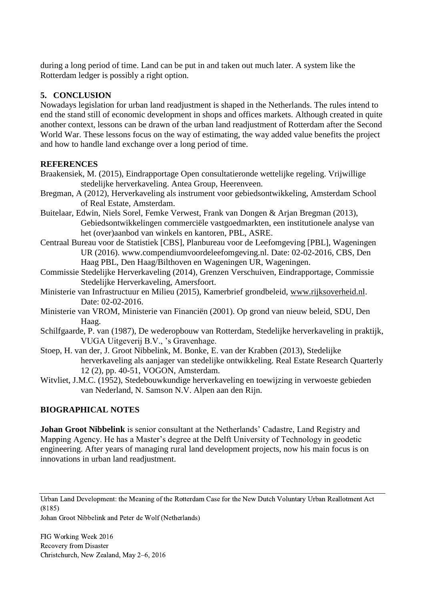during a long period of time. Land can be put in and taken out much later. A system like the Rotterdam ledger is possibly a right option.

## **5. CONCLUSION**

Nowadays legislation for urban land readjustment is shaped in the Netherlands. The rules intend to end the stand still of economic development in shops and offices markets. Although created in quite another context, lessons can be drawn of the urban land readjustment of Rotterdam after the Second World War. These lessons focus on the way of estimating, the way added value benefits the project and how to handle land exchange over a long period of time.

#### **REFERENCES**

- Braakensiek, M. (2015), Eindrapportage Open consultatieronde wettelijke regeling. Vrijwillige stedelijke herverkaveling. Antea Group, Heerenveen.
- Bregman, A (2012), Herverkaveling als instrument voor gebiedsontwikkeling, Amsterdam School of Real Estate, Amsterdam.
- Buitelaar, Edwin, Niels Sorel, Femke Verwest, Frank van Dongen & Arjan Bregman (2013), Gebiedsontwikkelingen commerciële vastgoedmarkten, een institutionele analyse van het (over)aanbod van winkels en kantoren, PBL, ASRE.
- Centraal Bureau voor de Statistiek [CBS], Planbureau voor de Leefomgeving [PBL], Wageningen UR (2016). www.compendiumvoordeleefomgeving.nl. Date: 02-02-2016, CBS, Den Haag PBL, Den Haag/Bilthoven en Wageningen UR, Wageningen.
- Commissie Stedelijke Herverkaveling (2014), Grenzen Verschuiven, Eindrapportage, Commissie Stedelijke Herverkaveling, Amersfoort.
- Ministerie van Infrastructuur en Milieu (2015), Kamerbrief grondbeleid, [www.rijksoverheid.nl.](http://www.rijksoverheid.nl/) Date: 02-02-2016.
- Ministerie van VROM, Ministerie van Financiën (2001). Op grond van nieuw beleid, SDU, Den Haag.
- Schilfgaarde, P. van (1987), De wederopbouw van Rotterdam, Stedelijke herverkaveling in praktijk, VUGA Uitgeverij B.V., 's Gravenhage.
- Stoep, H. van der, J. Groot Nibbelink, M. Bonke, E. van der Krabben (2013), Stedelijke herverkaveling als aanjager van stedelijke ontwikkeling. Real Estate Research Quarterly 12 (2), pp. 40-51, VOGON, Amsterdam.
- Witvliet, J.M.C. (1952), Stedebouwkundige herverkaveling en toewijzing in verwoeste gebieden van Nederland, N. Samson N.V. Alpen aan den Rijn.

# **BIOGRAPHICAL NOTES**

**Johan Groot Nibbelink** is senior consultant at the Netherlands' Cadastre, Land Registry and Mapping Agency. He has a Master's degree at the Delft University of Technology in geodetic engineering. After years of managing rural land development projects, now his main focus is on innovations in urban land readjustment.

Johan Groot Nibbelink and Peter de Wolf (Netherlands)

Urban Land Development: the Meaning of the Rotterdam Case for the New Dutch Voluntary Urban Reallotment Act (8185)